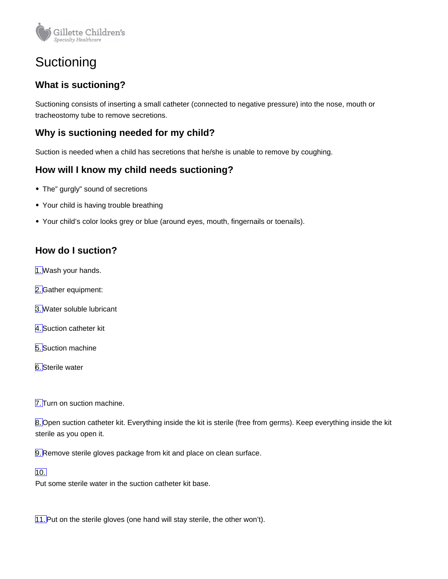

# **Suctioning**

# **What is suctioning?**

Suctioning consists of inserting a small catheter (connected to negative pressure) into the nose, mouth or tracheostomy tube to remove secretions.

## **Why is suctioning needed for my child?**

Suction is needed when a child has secretions that he/she is unable to remove by coughing.

### **How will I know my child needs suctioning?**

- The" gurgly" sound of secretions
- Your child is having trouble breathing
- Your child's color looks grey or blue (around eyes, mouth, fingernails or toenails).

## **How do I suction?**

1.Wash your hands.

- 2. Gather equipment:
- 3.Water soluble lubricant
- 4.Suction catheter kit
- 5.Suction machine
- 6.Sterile water

7.Turn on suction machine.

8. Open suction catheter kit. Everything inside the kit is sterile (free from germs). Keep everything inside the kit sterile as you open it.

9. Remove sterile gloves package from kit and place on clean surface.

#### 10.

Put some sterile water in the suction catheter kit base.

11.Put on the sterile gloves (one hand will stay sterile, the other won't).